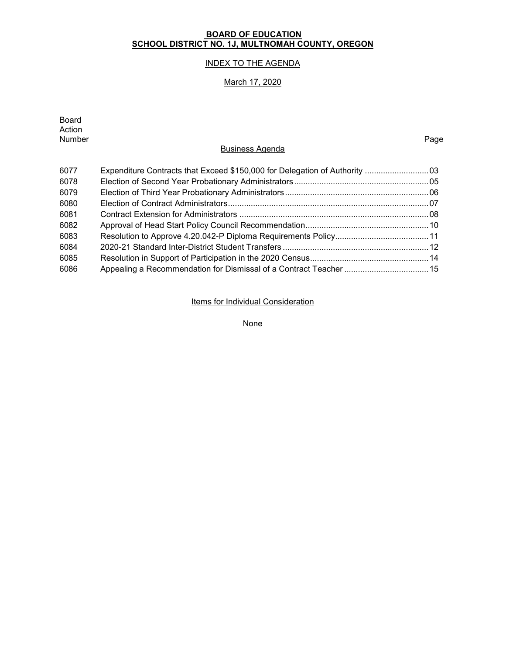# **BOARD OF EDUCATION SCHOOL DISTRICT NO. 1J, MULTNOMAH COUNTY, OREGON**

# INDEX TO THE AGENDA

# March 17, 2020

| Board<br>Action<br>Number | <b>Business Agenda</b>                                                      | Page |
|---------------------------|-----------------------------------------------------------------------------|------|
| 6077                      | Expenditure Contracts that Exceed \$150,000 for Delegation of Authority  03 |      |
| 6078                      |                                                                             |      |
| 6079                      |                                                                             |      |
| 6080                      |                                                                             |      |
| 6081                      |                                                                             |      |
| 6082                      |                                                                             |      |
| 6083                      |                                                                             |      |
| 6084                      |                                                                             |      |
| 6085                      |                                                                             |      |
| 6086                      |                                                                             |      |

**Items for Individual Consideration** 

None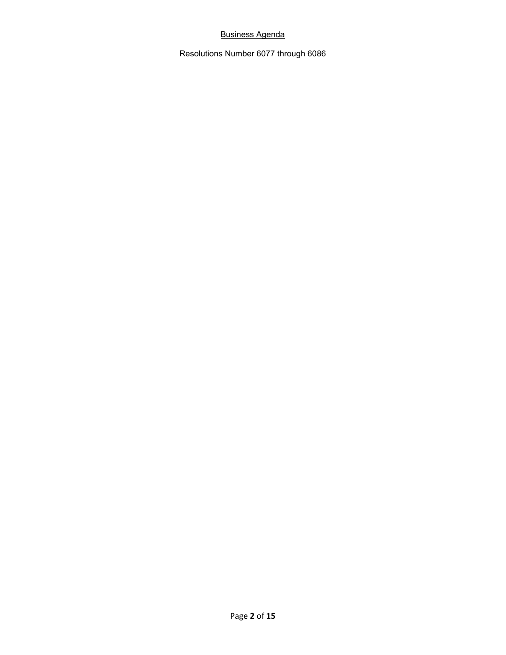# Business Agenda

Resolutions Number 6077 through 6086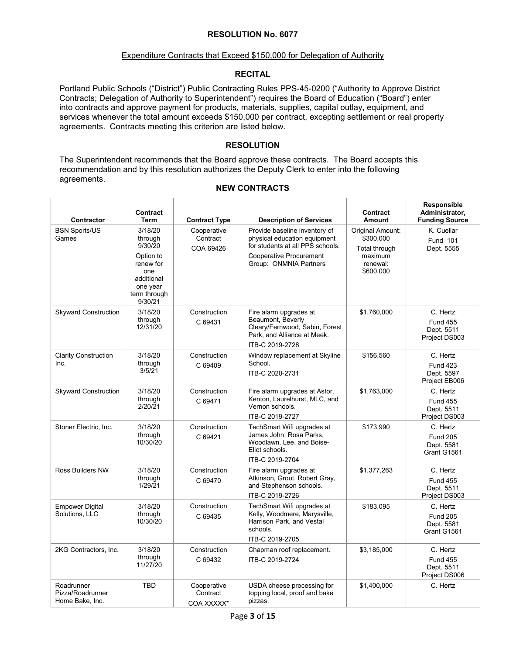#### Expenditure Contracts that Exceed \$150,000 for Delegation of Authority

# **RECITAL**

Portland Public Schools ("District") Public Contracting Rules PPS-45-0200 ("Authority to Approve District Contracts; Delegation of Authority to Superintendent") requires the Board of Education ("Board") enter into contracts and approve payment for products, materials, supplies, capital outlay, equipment, and services whenever the total amount exceeds \$150,000 per contract, excepting settlement or real property agreements. Contracts meeting this criterion are listed below.

# **RESOLUTION**

The Superintendent recommends that the Board approve these contracts. The Board accepts this recommendation and by this resolution authorizes the Deputy Clerk to enter into the following agreements.

| Contractor                                        | Contract<br><b>Term</b>                                                                                             | <b>Contract Type</b>                  | <b>Description of Services</b>                                                                                                                         | Contract<br><b>Amount</b>                                                          | Responsible<br>Administrator,<br><b>Funding Source</b>     |
|---------------------------------------------------|---------------------------------------------------------------------------------------------------------------------|---------------------------------------|--------------------------------------------------------------------------------------------------------------------------------------------------------|------------------------------------------------------------------------------------|------------------------------------------------------------|
| <b>BSN Sports/US</b><br>Games                     | 3/18/20<br>through<br>9/30/20<br>Option to<br>renew for<br>one<br>additional<br>one year<br>term through<br>9/30/21 | Cooperative<br>Contract<br>COA 69426  | Provide baseline inventory of<br>physical education equipment<br>for students at all PPS schools.<br>Cooperative Procurement<br>Group: ONMNIA Partners | Original Amount:<br>\$300,000<br>Total through<br>maximum<br>renewal:<br>\$600,000 | K. Cuellar<br>Fund 101<br>Dept. 5555                       |
| <b>Skyward Construction</b>                       | 3/18/20<br>through<br>12/31/20                                                                                      | Construction<br>C 69431               | Fire alarm upgrades at<br>Beaumont, Beverly<br>Cleary/Fernwood, Sabin, Forest<br>Park, and Alliance at Meek.<br>ITB-C 2019-2728                        | \$1,760,000                                                                        | C. Hertz<br><b>Fund 455</b><br>Dept. 5511<br>Project DS003 |
| <b>Clarity Construction</b><br>Inc.               | 3/18/20<br>through<br>3/5/21                                                                                        | Construction<br>C 69409               | Window replacement at Skyline<br>School.<br>ITB-C 2020-2731                                                                                            | \$156,560                                                                          | C. Hertz<br><b>Fund 423</b><br>Dept. 5597<br>Project EB006 |
| <b>Skyward Construction</b>                       | 3/18/20<br>through<br>2/20/21                                                                                       | Construction<br>C 69471               | Fire alarm upgrades at Astor,<br>Kenton, Laurelhurst, MLC, and<br>Vernon schools.<br>ITB-C 2019-2727                                                   | \$1,763,000                                                                        | C. Hertz<br><b>Fund 455</b><br>Dept. 5511<br>Project DS003 |
| Stoner Electric, Inc.                             | 3/18/20<br>through<br>10/30/20                                                                                      | Construction<br>C 69421               | TechSmart Wifi upgrades at<br>James John, Rosa Parks,<br>Woodlawn, Lee, and Boise-<br>Eliot schools.<br>ITB-C 2019-2704                                | \$173.990                                                                          | C. Hertz<br><b>Fund 205</b><br>Dept. 5581<br>Grant G1561   |
| <b>Ross Builders NW</b>                           | 3/18/20<br>through<br>1/29/21                                                                                       | Construction<br>C 69470               | Fire alarm upgrades at<br>Atkinson, Grout, Robert Gray,<br>and Stephenson schools.<br>ITB-C 2019-2726                                                  | \$1,377,263                                                                        | C. Hertz<br><b>Fund 455</b><br>Dept. 5511<br>Project DS003 |
| <b>Empower Digital</b><br>Solutions, LLC          | 3/18/20<br>through<br>10/30/20                                                                                      | Construction<br>C 69435               | TechSmart Wifi upgrades at<br>Kelly, Woodmere, Marysville,<br>Harrison Park, and Vestal<br>schools.<br>ITB-C 2019-2705                                 | \$183.095                                                                          | C. Hertz<br><b>Fund 205</b><br>Dept. 5581<br>Grant G1561   |
| 2KG Contractors, Inc.                             | 3/18/20<br>through<br>11/27/20                                                                                      | Construction<br>C 69432               | Chapman roof replacement.<br>ITB-C 2019-2724                                                                                                           | \$3,185,000                                                                        | C. Hertz<br><b>Fund 455</b><br>Dept. 5511<br>Project DS006 |
| Roadrunner<br>Pizza/Roadrunner<br>Home Bake, Inc. | <b>TBD</b>                                                                                                          | Cooperative<br>Contract<br>COA XXXXX* | USDA cheese processing for<br>topping local, proof and bake<br>pizzas.                                                                                 | \$1.400.000                                                                        | C. Hertz                                                   |

### **NEW CONTRACTS**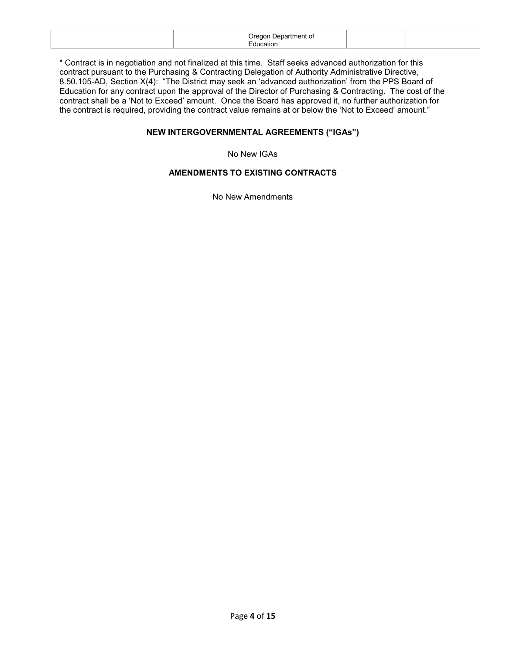|  | 98 H.<br>$\sim$<br>. .<br>ш |  |
|--|-----------------------------|--|
|  |                             |  |

\* Contract is in negotiation and not finalized at this time. Staff seeks advanced authorization for this contract pursuant to the Purchasing & Contracting Delegation of Authority Administrative Directive, 8.50.105-AD, Section X(4): "The District may seek an 'advanced authorization' from the PPS Board of Education for any contract upon the approval of the Director of Purchasing & Contracting. The cost of the contract shall be a 'Not to Exceed' amount. Once the Board has approved it, no further authorization for the contract is required, providing the contract value remains at or below the 'Not to Exceed' amount."

# **NEW INTERGOVERNMENTAL AGREEMENTS ("IGAs")**

No New IGAs

# **AMENDMENTS TO EXISTING CONTRACTS**

No New Amendments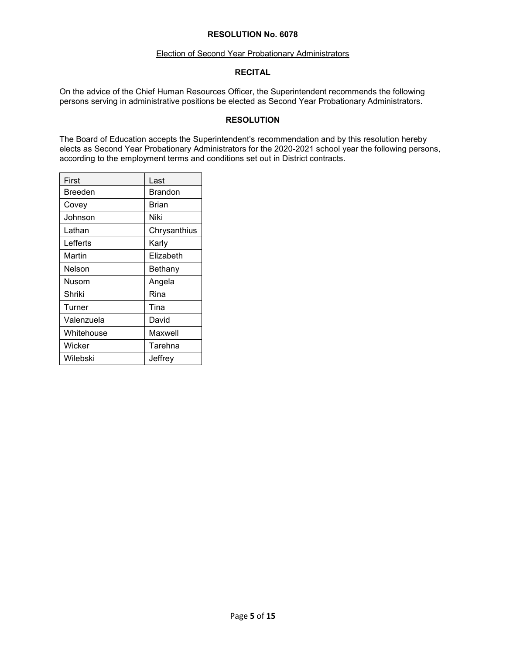#### Election of Second Year Probationary Administrators

### **RECITAL**

On the advice of the Chief Human Resources Officer, the Superintendent recommends the following persons serving in administrative positions be elected as Second Year Probationary Administrators.

### **RESOLUTION**

The Board of Education accepts the Superintendent's recommendation and by this resolution hereby elects as Second Year Probationary Administrators for the 2020-2021 school year the following persons, according to the employment terms and conditions set out in District contracts.

| First      | Last           |
|------------|----------------|
| Breeden    | <b>Brandon</b> |
| Covey      | Brian          |
| Johnson    | Niki           |
| Lathan     | Chrysanthius   |
| Lefferts   | Karlv          |
| Martin     | Elizabeth      |
| Nelson     | Bethany        |
| Nusom      | Angela         |
| Shriki     | Rina           |
| Turner     | Tina           |
| Valenzuela | David          |
| Whitehouse | Maxwell        |
| Wicker     | Tarehna        |
| Wilebski   | Jeffrey        |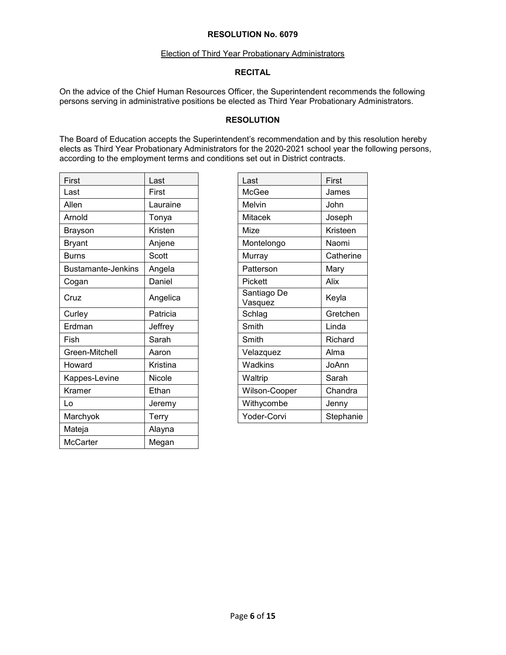#### Election of Third Year Probationary Administrators

### **RECITAL**

On the advice of the Chief Human Resources Officer, the Superintendent recommends the following persons serving in administrative positions be elected as Third Year Probationary Administrators.

### **RESOLUTION**

The Board of Education accepts the Superintendent's recommendation and by this resolution hereby elects as Third Year Probationary Administrators for the 2020-2021 school year the following persons, according to the employment terms and conditions set out in District contracts.

| First                     | Last     | Last                   | First     |
|---------------------------|----------|------------------------|-----------|
| Last                      | First    | McGee                  | James     |
| Allen                     | Lauraine | Melvin                 | John      |
| Arnold                    | Tonya    | <b>Mitacek</b>         | Joseph    |
| <b>Brayson</b>            | Kristen  | Mize                   | Kristeen  |
| <b>Bryant</b>             | Anjene   | Montelongo             | Naomi     |
| <b>Burns</b>              | Scott    | Murray                 | Catherine |
| <b>Bustamante-Jenkins</b> | Angela   | Patterson              | Mary      |
| Cogan                     | Daniel   | Pickett                | Alix      |
| Cruz                      | Angelica | Santiago De<br>Vasquez | Keyla     |
| Curley                    | Patricia | Schlag                 | Gretchen  |
| Erdman                    | Jeffrey  | Smith                  | Linda     |
| Fish                      | Sarah    | Smith                  | Richard   |
| Green-Mitchell            | Aaron    | Velazquez              | Alma      |
| Howard                    | Kristina | <b>Wadkins</b>         | JoAnn     |
| Kappes-Levine             | Nicole   | Waltrip                | Sarah     |
| Kramer                    | Ethan    | Wilson-Cooper          | Chandra   |
| Lo                        | Jeremy   | Withycombe             | Jenny     |
| Marchyok                  | Terry    | Yoder-Corvi            | Stephanie |
| Mateja                    | Alayna   |                        |           |
| McCarter                  | Megan    |                        |           |

| Last                   | First     |
|------------------------|-----------|
| McGee                  | James     |
| Melvin                 | John      |
| Mitacek                | Joseph    |
| Mize                   | Kristeen  |
| Montelongo             | Naomi     |
| Murray                 | Catherine |
| Patterson              | Mary      |
| Pickett                | Alix      |
| Santiago De<br>Vasquez | Keyla     |
| Schlag                 | Gretchen  |
| Smith                  | Linda     |
| Smith                  | Richard   |
| Velazquez              | Alma      |
| Wadkins                | JoAnn     |
| Waltrip                | Sarah     |
| Wilson-Cooper          | Chandra   |
| Withycombe             | Jenny     |
| Yoder-Corvi            | Stephanie |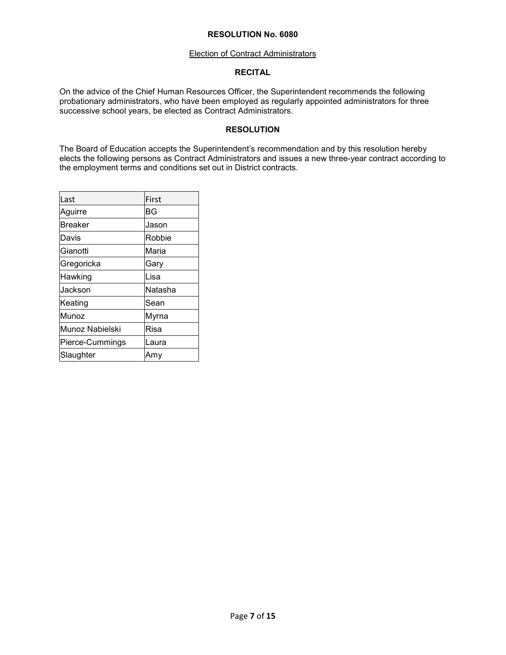### Election of Contract Administrators

### **RECITAL**

On the advice of the Chief Human Resources Officer, the Superintendent recommends the following probationary administrators, who have been employed as regularly appointed administrators for three successive school years, be elected as Contract Administrators.

# **RESOLUTION**

The Board of Education accepts the Superintendent's recommendation and by this resolution hereby elects the following persons as Contract Administrators and issues a new three-year contract according to the employment terms and conditions set out in District contracts.

| Last            | First       |
|-----------------|-------------|
| Aguirre         | ΒG          |
| <b>Breaker</b>  | Jason       |
| Davis           | Robbie      |
| Gianotti        | Maria       |
| Gregoricka      | Gary        |
| Hawking         | Lisa        |
| Jackson         | Natasha     |
| Keating         | Sean        |
| Munoz           | Myrna       |
| Munoz Nabielski | <b>Risa</b> |
| Pierce-Cummings | Laura       |
| Slaughter       | Amv         |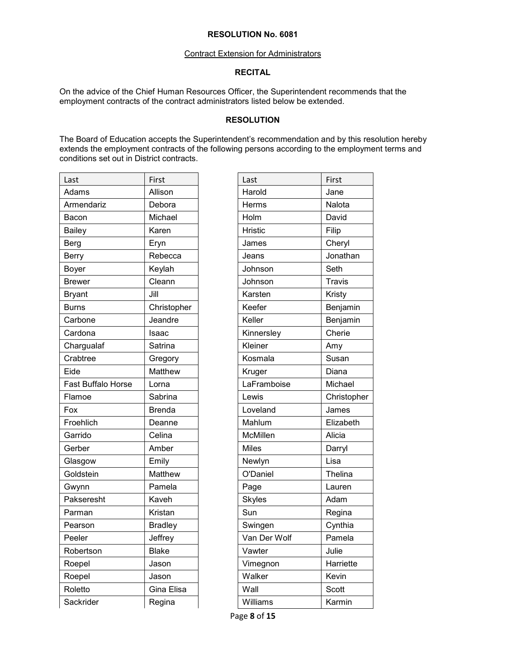### Contract Extension for Administrators

# **RECITAL**

On the advice of the Chief Human Resources Officer, the Superintendent recommends that the employment contracts of the contract administrators listed below be extended.

# **RESOLUTION**

The Board of Education accepts the Superintendent's recommendation and by this resolution hereby extends the employment contracts of the following persons according to the employment terms and conditions set out in District contracts.

| First<br>First<br>Last<br>Last<br>Allison<br>Harold<br>Adams<br>Jane<br>Nalota<br>Armendariz<br>Debora<br>Herms<br>David<br>Michael<br>Holm<br>Bacon<br>Karen<br><b>Hristic</b><br>Filip<br><b>Bailey</b><br>Cheryl<br><b>Berg</b><br>Eryn<br>James<br>Rebecca<br><b>Berry</b><br>Jeans<br>Seth<br>Keylah<br>Johnson<br>Boyer<br>Cleann<br><b>Travis</b><br><b>Brewer</b><br>Johnson<br>Karsten<br>Jill<br><b>Bryant</b><br>Kristy<br>Keefer<br><b>Burns</b><br>Christopher<br>Keller<br>Jeandre<br>Carbone<br>Cherie<br>Cardona<br>Isaac<br>Kinnersley<br>Kleiner<br>Chargualaf<br>Satrina<br>Amy<br>Crabtree<br>Kosmala<br>Susan<br>Gregory<br>Matthew<br>Eide<br>Diana<br>Kruger<br>Fast Buffalo Horse<br>LaFramboise<br>Lorna<br>Lewis<br>Flamoe<br>Sabrina<br>Loveland<br>Fox<br><b>Brenda</b><br>James<br>Froehlich<br>Mahlum<br>Deanne<br>Garrido<br>Celina<br>McMillen<br>Alicia<br>Amber<br><b>Miles</b><br>Gerber<br>Darryl<br>Lisa<br>Emily<br>Newlyn<br>Glasgow<br>Matthew<br>O'Daniel<br>Goldstein<br>Pamela<br>Page<br>Lauren<br>Gwynn<br>Pakseresht<br>Kaveh<br><b>Skyles</b><br>Adam<br>Sun<br>Kristan<br>Parman<br><b>Bradley</b><br>Swingen<br>Pearson<br>Jeffrey<br>Van Der Wolf<br>Peeler<br>Vawter<br>Julie<br>Robertson<br><b>Blake</b><br>Vimegnon<br>Roepel<br>Jason<br>Roepel<br>Walker<br>Kevin<br>Jason<br>Gina Elisa<br>Wall<br>Scott<br>Roletto<br>Sackrider<br>Regina<br>Williams |  |  |             |
|-----------------------------------------------------------------------------------------------------------------------------------------------------------------------------------------------------------------------------------------------------------------------------------------------------------------------------------------------------------------------------------------------------------------------------------------------------------------------------------------------------------------------------------------------------------------------------------------------------------------------------------------------------------------------------------------------------------------------------------------------------------------------------------------------------------------------------------------------------------------------------------------------------------------------------------------------------------------------------------------------------------------------------------------------------------------------------------------------------------------------------------------------------------------------------------------------------------------------------------------------------------------------------------------------------------------------------------------------------------------------------------------------------------------|--|--|-------------|
|                                                                                                                                                                                                                                                                                                                                                                                                                                                                                                                                                                                                                                                                                                                                                                                                                                                                                                                                                                                                                                                                                                                                                                                                                                                                                                                                                                                                                 |  |  |             |
|                                                                                                                                                                                                                                                                                                                                                                                                                                                                                                                                                                                                                                                                                                                                                                                                                                                                                                                                                                                                                                                                                                                                                                                                                                                                                                                                                                                                                 |  |  |             |
|                                                                                                                                                                                                                                                                                                                                                                                                                                                                                                                                                                                                                                                                                                                                                                                                                                                                                                                                                                                                                                                                                                                                                                                                                                                                                                                                                                                                                 |  |  |             |
|                                                                                                                                                                                                                                                                                                                                                                                                                                                                                                                                                                                                                                                                                                                                                                                                                                                                                                                                                                                                                                                                                                                                                                                                                                                                                                                                                                                                                 |  |  |             |
|                                                                                                                                                                                                                                                                                                                                                                                                                                                                                                                                                                                                                                                                                                                                                                                                                                                                                                                                                                                                                                                                                                                                                                                                                                                                                                                                                                                                                 |  |  |             |
|                                                                                                                                                                                                                                                                                                                                                                                                                                                                                                                                                                                                                                                                                                                                                                                                                                                                                                                                                                                                                                                                                                                                                                                                                                                                                                                                                                                                                 |  |  |             |
|                                                                                                                                                                                                                                                                                                                                                                                                                                                                                                                                                                                                                                                                                                                                                                                                                                                                                                                                                                                                                                                                                                                                                                                                                                                                                                                                                                                                                 |  |  | Jonathan    |
|                                                                                                                                                                                                                                                                                                                                                                                                                                                                                                                                                                                                                                                                                                                                                                                                                                                                                                                                                                                                                                                                                                                                                                                                                                                                                                                                                                                                                 |  |  |             |
|                                                                                                                                                                                                                                                                                                                                                                                                                                                                                                                                                                                                                                                                                                                                                                                                                                                                                                                                                                                                                                                                                                                                                                                                                                                                                                                                                                                                                 |  |  |             |
|                                                                                                                                                                                                                                                                                                                                                                                                                                                                                                                                                                                                                                                                                                                                                                                                                                                                                                                                                                                                                                                                                                                                                                                                                                                                                                                                                                                                                 |  |  |             |
|                                                                                                                                                                                                                                                                                                                                                                                                                                                                                                                                                                                                                                                                                                                                                                                                                                                                                                                                                                                                                                                                                                                                                                                                                                                                                                                                                                                                                 |  |  | Benjamin    |
|                                                                                                                                                                                                                                                                                                                                                                                                                                                                                                                                                                                                                                                                                                                                                                                                                                                                                                                                                                                                                                                                                                                                                                                                                                                                                                                                                                                                                 |  |  | Benjamin    |
|                                                                                                                                                                                                                                                                                                                                                                                                                                                                                                                                                                                                                                                                                                                                                                                                                                                                                                                                                                                                                                                                                                                                                                                                                                                                                                                                                                                                                 |  |  |             |
|                                                                                                                                                                                                                                                                                                                                                                                                                                                                                                                                                                                                                                                                                                                                                                                                                                                                                                                                                                                                                                                                                                                                                                                                                                                                                                                                                                                                                 |  |  |             |
|                                                                                                                                                                                                                                                                                                                                                                                                                                                                                                                                                                                                                                                                                                                                                                                                                                                                                                                                                                                                                                                                                                                                                                                                                                                                                                                                                                                                                 |  |  |             |
|                                                                                                                                                                                                                                                                                                                                                                                                                                                                                                                                                                                                                                                                                                                                                                                                                                                                                                                                                                                                                                                                                                                                                                                                                                                                                                                                                                                                                 |  |  |             |
|                                                                                                                                                                                                                                                                                                                                                                                                                                                                                                                                                                                                                                                                                                                                                                                                                                                                                                                                                                                                                                                                                                                                                                                                                                                                                                                                                                                                                 |  |  | Michael     |
|                                                                                                                                                                                                                                                                                                                                                                                                                                                                                                                                                                                                                                                                                                                                                                                                                                                                                                                                                                                                                                                                                                                                                                                                                                                                                                                                                                                                                 |  |  | Christopher |
|                                                                                                                                                                                                                                                                                                                                                                                                                                                                                                                                                                                                                                                                                                                                                                                                                                                                                                                                                                                                                                                                                                                                                                                                                                                                                                                                                                                                                 |  |  |             |
|                                                                                                                                                                                                                                                                                                                                                                                                                                                                                                                                                                                                                                                                                                                                                                                                                                                                                                                                                                                                                                                                                                                                                                                                                                                                                                                                                                                                                 |  |  | Elizabeth   |
|                                                                                                                                                                                                                                                                                                                                                                                                                                                                                                                                                                                                                                                                                                                                                                                                                                                                                                                                                                                                                                                                                                                                                                                                                                                                                                                                                                                                                 |  |  |             |
|                                                                                                                                                                                                                                                                                                                                                                                                                                                                                                                                                                                                                                                                                                                                                                                                                                                                                                                                                                                                                                                                                                                                                                                                                                                                                                                                                                                                                 |  |  |             |
|                                                                                                                                                                                                                                                                                                                                                                                                                                                                                                                                                                                                                                                                                                                                                                                                                                                                                                                                                                                                                                                                                                                                                                                                                                                                                                                                                                                                                 |  |  |             |
|                                                                                                                                                                                                                                                                                                                                                                                                                                                                                                                                                                                                                                                                                                                                                                                                                                                                                                                                                                                                                                                                                                                                                                                                                                                                                                                                                                                                                 |  |  | Thelina     |
|                                                                                                                                                                                                                                                                                                                                                                                                                                                                                                                                                                                                                                                                                                                                                                                                                                                                                                                                                                                                                                                                                                                                                                                                                                                                                                                                                                                                                 |  |  |             |
|                                                                                                                                                                                                                                                                                                                                                                                                                                                                                                                                                                                                                                                                                                                                                                                                                                                                                                                                                                                                                                                                                                                                                                                                                                                                                                                                                                                                                 |  |  |             |
|                                                                                                                                                                                                                                                                                                                                                                                                                                                                                                                                                                                                                                                                                                                                                                                                                                                                                                                                                                                                                                                                                                                                                                                                                                                                                                                                                                                                                 |  |  | Regina      |
|                                                                                                                                                                                                                                                                                                                                                                                                                                                                                                                                                                                                                                                                                                                                                                                                                                                                                                                                                                                                                                                                                                                                                                                                                                                                                                                                                                                                                 |  |  | Cynthia     |
|                                                                                                                                                                                                                                                                                                                                                                                                                                                                                                                                                                                                                                                                                                                                                                                                                                                                                                                                                                                                                                                                                                                                                                                                                                                                                                                                                                                                                 |  |  | Pamela      |
|                                                                                                                                                                                                                                                                                                                                                                                                                                                                                                                                                                                                                                                                                                                                                                                                                                                                                                                                                                                                                                                                                                                                                                                                                                                                                                                                                                                                                 |  |  |             |
|                                                                                                                                                                                                                                                                                                                                                                                                                                                                                                                                                                                                                                                                                                                                                                                                                                                                                                                                                                                                                                                                                                                                                                                                                                                                                                                                                                                                                 |  |  | Harriette   |
|                                                                                                                                                                                                                                                                                                                                                                                                                                                                                                                                                                                                                                                                                                                                                                                                                                                                                                                                                                                                                                                                                                                                                                                                                                                                                                                                                                                                                 |  |  |             |
|                                                                                                                                                                                                                                                                                                                                                                                                                                                                                                                                                                                                                                                                                                                                                                                                                                                                                                                                                                                                                                                                                                                                                                                                                                                                                                                                                                                                                 |  |  |             |
|                                                                                                                                                                                                                                                                                                                                                                                                                                                                                                                                                                                                                                                                                                                                                                                                                                                                                                                                                                                                                                                                                                                                                                                                                                                                                                                                                                                                                 |  |  | Karmin      |

| Last           | First         |
|----------------|---------------|
| Harold         | Jane          |
| Herms          | Nalota        |
| Holm           | David         |
| <b>Hristic</b> | Filip         |
| James          | Cheryl        |
| Jeans          | Jonathan      |
| Johnson        | Seth          |
| Johnson        | <b>Travis</b> |
| Karsten        | Kristy        |
| Keefer         | Benjamin      |
| Keller         | Benjamin      |
| Kinnersley     | Cherie        |
| Kleiner        | Amy           |
| Kosmala        | Susan         |
| Kruger         | Diana         |
| LaFramboise    | Michael       |
| Lewis          | Christopher   |
| Loveland       | James         |
| Mahlum         | Elizabeth     |
| McMillen       | Alicia        |
| <b>Miles</b>   | Darryl        |
| Newlyn         | Lisa          |
| O'Daniel       | Thelina       |
| Page           | Lauren        |
| <b>Skyles</b>  | Adam          |
| Sun            | Regina        |
| Swingen        | Cynthia       |
| Van Der Wolf   | Pamela        |
| Vawter         | Julie         |
| Vimegnon       | Harriette     |
| Walker         | Kevin         |
| Wall           | Scott         |
| Williams       | Karmin        |
|                |               |

Page **8** of **15**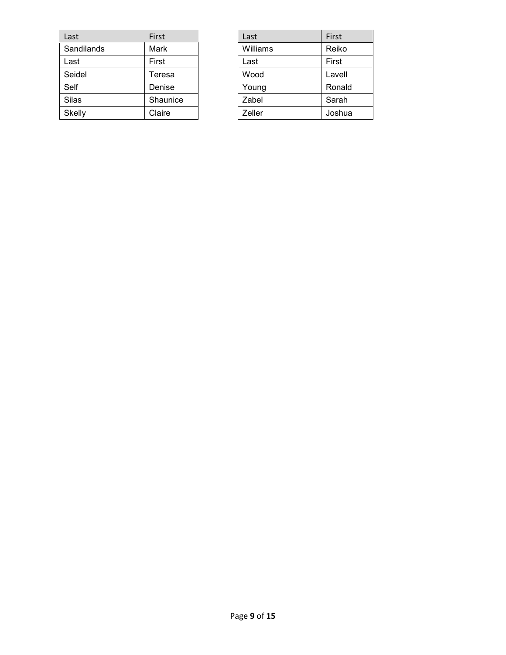| Last         | First    | Last     | First  |
|--------------|----------|----------|--------|
| Sandilands   | Mark     | Williams | Reiko  |
| Last         | First    | Last     | First  |
| Seidel       | Teresa   | Wood     | Lavell |
| Self         | Denise   | Young    | Ronald |
| <b>Silas</b> | Shaunice | Zabel    | Sarah  |
| Skelly       | Claire   | Zeller   | Joshua |

| Last     | First  |
|----------|--------|
| Williams | Reiko  |
| Last     | First  |
| Wood     | Lavell |
| Young    | Ronald |
| Zabel    | Sarah  |
| Zeller   | Joshua |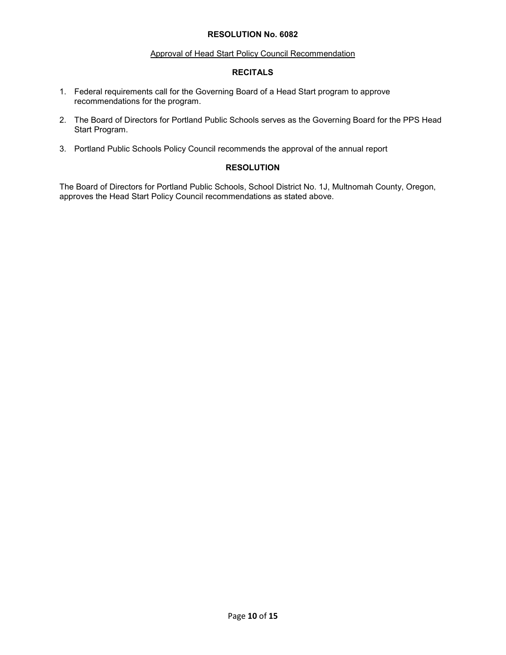### Approval of Head Start Policy Council Recommendation

## **RECITALS**

- 1. Federal requirements call for the Governing Board of a Head Start program to approve recommendations for the program.
- 2. The Board of Directors for Portland Public Schools serves as the Governing Board for the PPS Head Start Program.
- 3. Portland Public Schools Policy Council recommends the approval of the annual report

# **RESOLUTION**

The Board of Directors for Portland Public Schools, School District No. 1J, Multnomah County, Oregon, approves the Head Start Policy Council recommendations as stated above.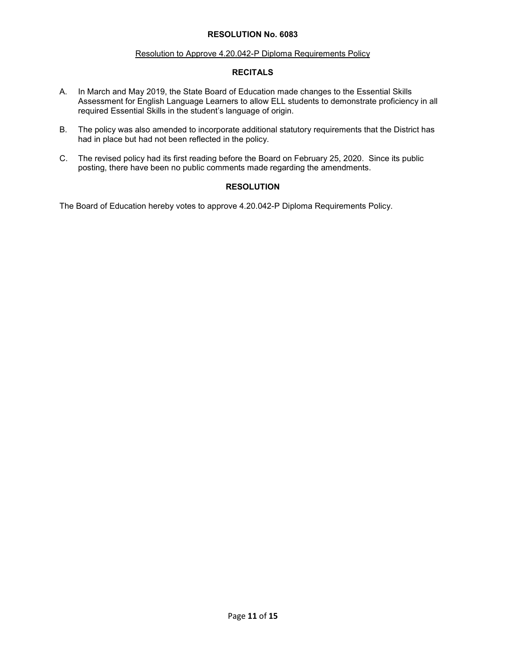### Resolution to Approve 4.20.042-P Diploma Requirements Policy

# **RECITALS**

- A. In March and May 2019, the State Board of Education made changes to the Essential Skills Assessment for English Language Learners to allow ELL students to demonstrate proficiency in all required Essential Skills in the student's language of origin.
- B. The policy was also amended to incorporate additional statutory requirements that the District has had in place but had not been reflected in the policy.
- C. The revised policy had its first reading before the Board on February 25, 2020. Since its public posting, there have been no public comments made regarding the amendments.

# **RESOLUTION**

The Board of Education hereby votes to approve 4.20.042-P Diploma Requirements Policy.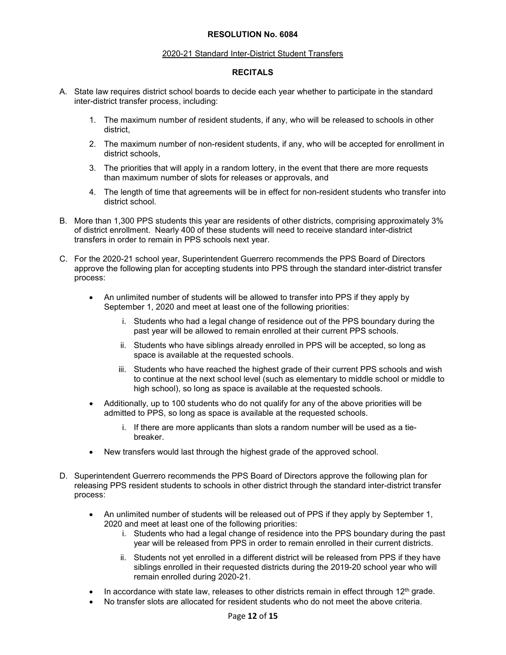### 2020-21 Standard Inter-District Student Transfers

# **RECITALS**

- A. State law requires district school boards to decide each year whether to participate in the standard inter-district transfer process, including:
	- 1. The maximum number of resident students, if any, who will be released to schools in other district,
	- 2. The maximum number of non-resident students, if any, who will be accepted for enrollment in district schools,
	- 3. The priorities that will apply in a random lottery, in the event that there are more requests than maximum number of slots for releases or approvals, and
	- 4. The length of time that agreements will be in effect for non-resident students who transfer into district school.
- B. More than 1,300 PPS students this year are residents of other districts, comprising approximately 3% of district enrollment. Nearly 400 of these students will need to receive standard inter-district transfers in order to remain in PPS schools next year.
- C. For the 2020-21 school year, Superintendent Guerrero recommends the PPS Board of Directors approve the following plan for accepting students into PPS through the standard inter-district transfer process:
	- An unlimited number of students will be allowed to transfer into PPS if they apply by September 1, 2020 and meet at least one of the following priorities:
		- i. Students who had a legal change of residence out of the PPS boundary during the past year will be allowed to remain enrolled at their current PPS schools.
		- ii. Students who have siblings already enrolled in PPS will be accepted, so long as space is available at the requested schools.
		- iii. Students who have reached the highest grade of their current PPS schools and wish to continue at the next school level (such as elementary to middle school or middle to high school), so long as space is available at the requested schools.
	- Additionally, up to 100 students who do not qualify for any of the above priorities will be admitted to PPS, so long as space is available at the requested schools.
		- i. If there are more applicants than slots a random number will be used as a tiebreaker.
	- New transfers would last through the highest grade of the approved school.
- D. Superintendent Guerrero recommends the PPS Board of Directors approve the following plan for releasing PPS resident students to schools in other district through the standard inter-district transfer process:
	- An unlimited number of students will be released out of PPS if they apply by September 1, 2020 and meet at least one of the following priorities:
		- i. Students who had a legal change of residence into the PPS boundary during the past year will be released from PPS in order to remain enrolled in their current districts.
		- ii. Students not yet enrolled in a different district will be released from PPS if they have siblings enrolled in their requested districts during the 2019-20 school year who will remain enrolled during 2020-21.
	- In accordance with state law, releases to other districts remain in effect through  $12<sup>th</sup>$  grade.
	- No transfer slots are allocated for resident students who do not meet the above criteria.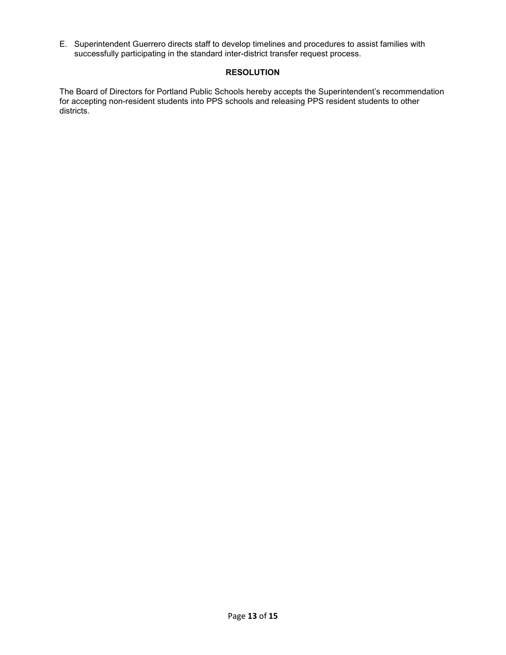E. Superintendent Guerrero directs staff to develop timelines and procedures to assist families with successfully participating in the standard inter-district transfer request process.

# **RESOLUTION**

The Board of Directors for Portland Public Schools hereby accepts the Superintendent's recommendation for accepting non-resident students into PPS schools and releasing PPS resident students to other districts.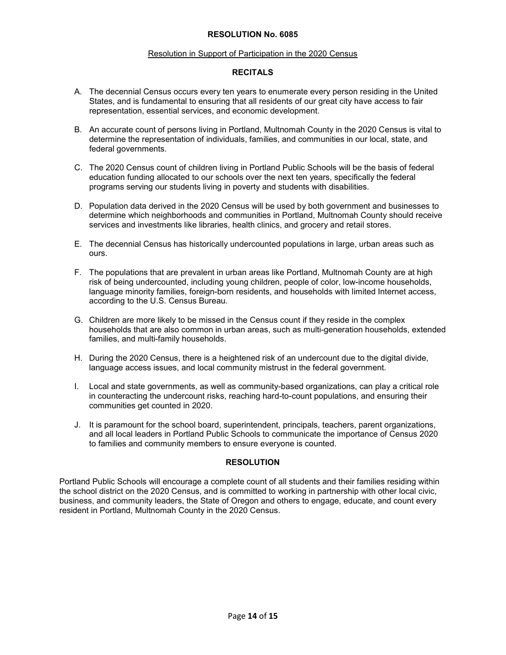### Resolution in Support of Participation in the 2020 Census

## **RECITALS**

- A. The decennial Census occurs every ten years to enumerate every person residing in the United States, and is fundamental to ensuring that all residents of our great city have access to fair representation, essential services, and economic development.
- B. An accurate count of persons living in Portland, Multnomah County in the 2020 Census is vital to determine the representation of individuals, families, and communities in our local, state, and federal governments.
- C. The 2020 Census count of children living in Portland Public Schools will be the basis of federal education funding allocated to our schools over the next ten years, specifically the federal programs serving our students living in poverty and students with disabilities.
- D. Population data derived in the 2020 Census will be used by both government and businesses to determine which neighborhoods and communities in Portland, Multnomah County should receive services and investments like libraries, health clinics, and grocery and retail stores.
- E. The decennial Census has historically undercounted populations in large, urban areas such as ours.
- F. The populations that are prevalent in urban areas like Portland, Multnomah County are at high risk of being undercounted, including young children, people of color, low-income households, language minority families, foreign-born residents, and households with limited Internet access, according to the U.S. Census Bureau.
- G. Children are more likely to be missed in the Census count if they reside in the complex households that are also common in urban areas, such as multi-generation households, extended families, and multi-family households.
- H. During the 2020 Census, there is a heightened risk of an undercount due to the digital divide, language access issues, and local community mistrust in the federal government.
- I. Local and state governments, as well as community-based organizations, can play a critical role in counteracting the undercount risks, reaching hard-to-count populations, and ensuring their communities get counted in 2020.
- J. It is paramount for the school board, superintendent, principals, teachers, parent organizations, and all local leaders in Portland Public Schools to communicate the importance of Census 2020 to families and community members to ensure everyone is counted.

# **RESOLUTION**

Portland Public Schools will encourage a complete count of all students and their families residing within the school district on the 2020 Census, and is committed to working in partnership with other local civic, business, and community leaders, the State of Oregon and others to engage, educate, and count every resident in Portland, Multnomah County in the 2020 Census.